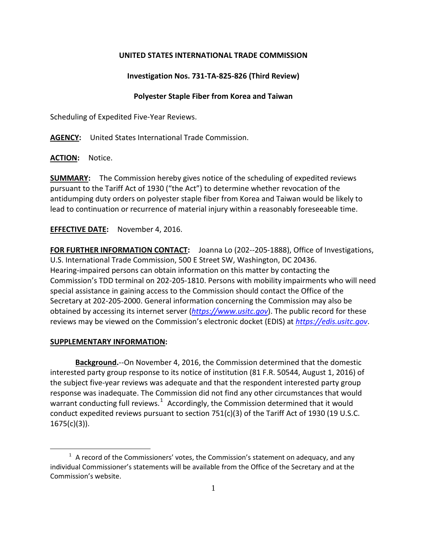# **UNITED STATES INTERNATIONAL TRADE COMMISSION**

## **Investigation Nos. 731-TA-825-826 (Third Review)**

## **Polyester Staple Fiber from Korea and Taiwan**

Scheduling of Expedited Five-Year Reviews.

**AGENCY:** United States International Trade Commission.

**ACTION:** Notice.

**SUMMARY:** The Commission hereby gives notice of the scheduling of expedited reviews pursuant to the Tariff Act of 1930 ("the Act") to determine whether revocation of the antidumping duty orders on polyester staple fiber from Korea and Taiwan would be likely to lead to continuation or recurrence of material injury within a reasonably foreseeable time.

## **EFFECTIVE DATE:** November 4, 2016.

**FOR FURTHER INFORMATION CONTACT:** Joanna Lo (202--205-1888), Office of Investigations, U.S. International Trade Commission, 500 E Street SW, Washington, DC 20436. Hearing-impaired persons can obtain information on this matter by contacting the Commission's TDD terminal on 202-205-1810. Persons with mobility impairments who will need special assistance in gaining access to the Commission should contact the Office of the Secretary at 202-205-2000. General information concerning the Commission may also be obtained by accessing its internet server (*[https://www.usitc.gov](https://www.usitc.gov/)*). The public record for these reviews may be viewed on the Commission's electronic docket (EDIS) at *[https://edis.usitc.gov](https://edis.usitc.gov/)*.

#### **SUPPLEMENTARY INFORMATION:**

 $\overline{a}$ 

**Background.**--On November 4, 2016, the Commission determined that the domestic interested party group response to its notice of institution (81 F.R. 50544, August 1, 2016) of the subject five-year reviews was adequate and that the respondent interested party group response was inadequate. The Commission did not find any other circumstances that would warrant conducting full reviews.<sup>[1](#page-0-0)</sup> Accordingly, the Commission determined that it would conduct expedited reviews pursuant to section 751(c)(3) of the Tariff Act of 1930 (19 U.S.C.  $1675(c)(3)$ ).

<span id="page-0-0"></span> $1$  A record of the Commissioners' votes, the Commission's statement on adequacy, and any individual Commissioner's statements will be available from the Office of the Secretary and at the Commission's website.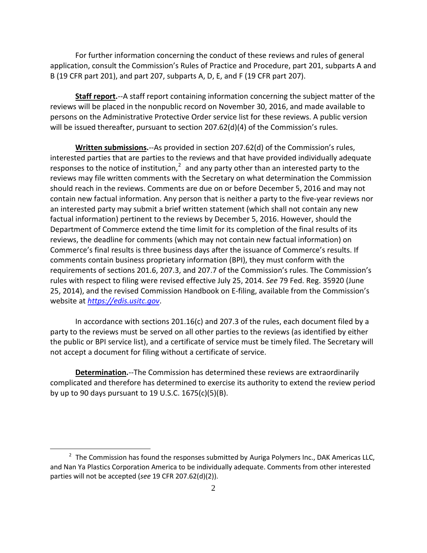For further information concerning the conduct of these reviews and rules of general application, consult the Commission's Rules of Practice and Procedure, part 201, subparts A and B (19 CFR part 201), and part 207, subparts A, D, E, and F (19 CFR part 207).

**Staff report.**--A staff report containing information concerning the subject matter of the reviews will be placed in the nonpublic record on November 30, 2016, and made available to persons on the Administrative Protective Order service list for these reviews. A public version will be issued thereafter, pursuant to section 207.62(d)(4) of the Commission's rules.

**Written submissions.**--As provided in section 207.62(d) of the Commission's rules, interested parties that are parties to the reviews and that have provided individually adequate responses to the notice of institution, $2$  and any party other than an interested party to the reviews may file written comments with the Secretary on what determination the Commission should reach in the reviews. Comments are due on or before December 5, 2016 and may not contain new factual information. Any person that is neither a party to the five-year reviews nor an interested party may submit a brief written statement (which shall not contain any new factual information) pertinent to the reviews by December 5, 2016. However, should the Department of Commerce extend the time limit for its completion of the final results of its reviews, the deadline for comments (which may not contain new factual information) on Commerce's final results is three business days after the issuance of Commerce's results. If comments contain business proprietary information (BPI), they must conform with the requirements of sections 201.6, 207.3, and 207.7 of the Commission's rules. The Commission's rules with respect to filing were revised effective July 25, 2014. *See* 79 Fed. Reg. 35920 (June 25, 2014), and the revised Commission Handbook on E-filing, available from the Commission's website at *[https://edis.usitc.gov](https://edis.usitc.gov/)*.

In accordance with sections 201.16(c) and 207.3 of the rules, each document filed by a party to the reviews must be served on all other parties to the reviews (as identified by either the public or BPI service list), and a certificate of service must be timely filed. The Secretary will not accept a document for filing without a certificate of service.

**Determination.**--The Commission has determined these reviews are extraordinarily complicated and therefore has determined to exercise its authority to extend the review period by up to 90 days pursuant to 19 U.S.C. 1675(c)(5)(B).

 $\overline{a}$ 

<span id="page-1-0"></span> $2$  The Commission has found the responses submitted by Auriga Polymers Inc., DAK Americas LLC, and Nan Ya Plastics Corporation America to be individually adequate. Comments from other interested parties will not be accepted (*see* 19 CFR 207.62(d)(2)).